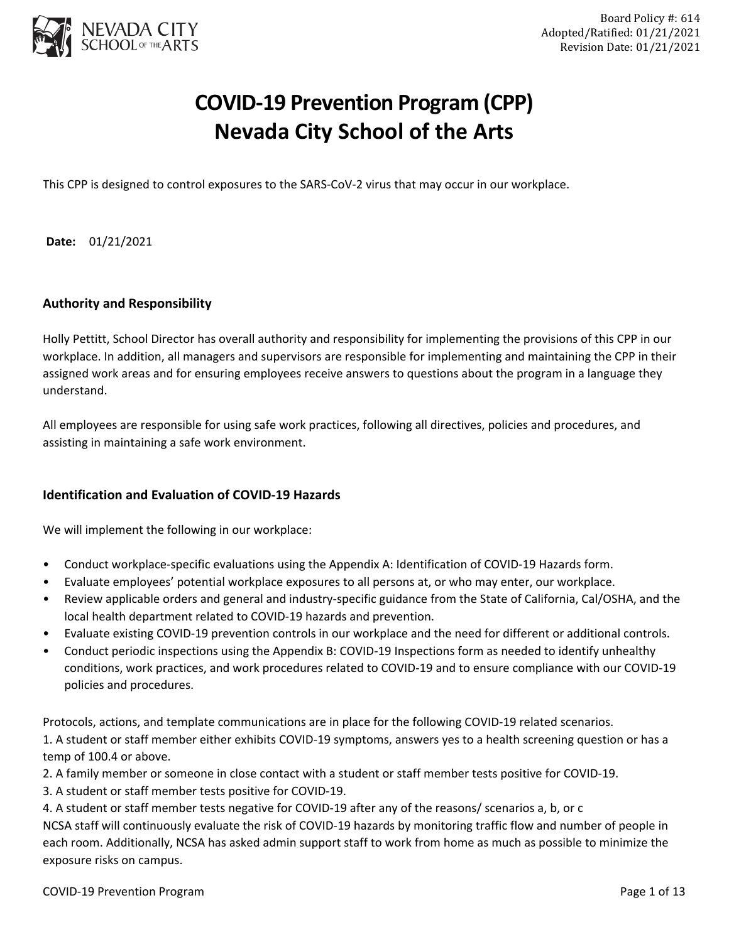

# **COVID-19 Prevention Program (CPP) Nevada City School of the Arts**

This CPP is designed to control exposures to the SARS-CoV-2 virus that may occur in our workplace.

**Date:** 01/21/2021

## **Authority and Responsibility**

Holly Pettitt, School Director has overall authority and responsibility for implementing the provisions of this CPP in our workplace. In addition, all managers and supervisors are responsible for implementing and maintaining the CPP in their assigned work areas and for ensuring employees receive answers to questions about the program in a language they understand.

All employees are responsible for using safe work practices, following all directives, policies and procedures, and assisting in maintaining a safe work environment.

## **Identification and Evaluation of COVID-19 Hazards**

We will implement the following in our workplace:

- Conduct workplace-specific evaluations using the Appendix A: Identification of COVID-19 Hazards form.
- Evaluate employees' potential workplace exposures to all persons at, or who may enter, our workplace.
- Review applicable orders and general and industry-specific guidance from the State of California, Cal/OSHA, and the local health department related to COVID-19 hazards and prevention.
- Evaluate existing COVID-19 prevention controls in our workplace and the need for different or additional controls.
- Conduct periodic inspections using the Appendix B: COVID-19 Inspections form as needed to identify unhealthy conditions, work practices, and work procedures related to COVID-19 and to ensure compliance with our COVID-19 policies and procedures.

Protocols, actions, and template communications are in place for the following COVID-19 related scenarios.

1. A student or staff member either exhibits COVID-19 symptoms, answers yes to a health screening question or has a temp of 100.4 or above.

2. A family member or someone in close contact with a student or staff member tests positive for COVID-19.

3. A student or staff member tests positive for COVID-19.

4. A student or staff member tests negative for COVID-19 after any of the reasons/ scenarios a, b, or c NCSA staff will continuously evaluate the risk of COVID-19 hazards by monitoring traffic flow and number of people in each room. Additionally, NCSA has asked admin support staff to work from home as much as possible to minimize the exposure risks on campus.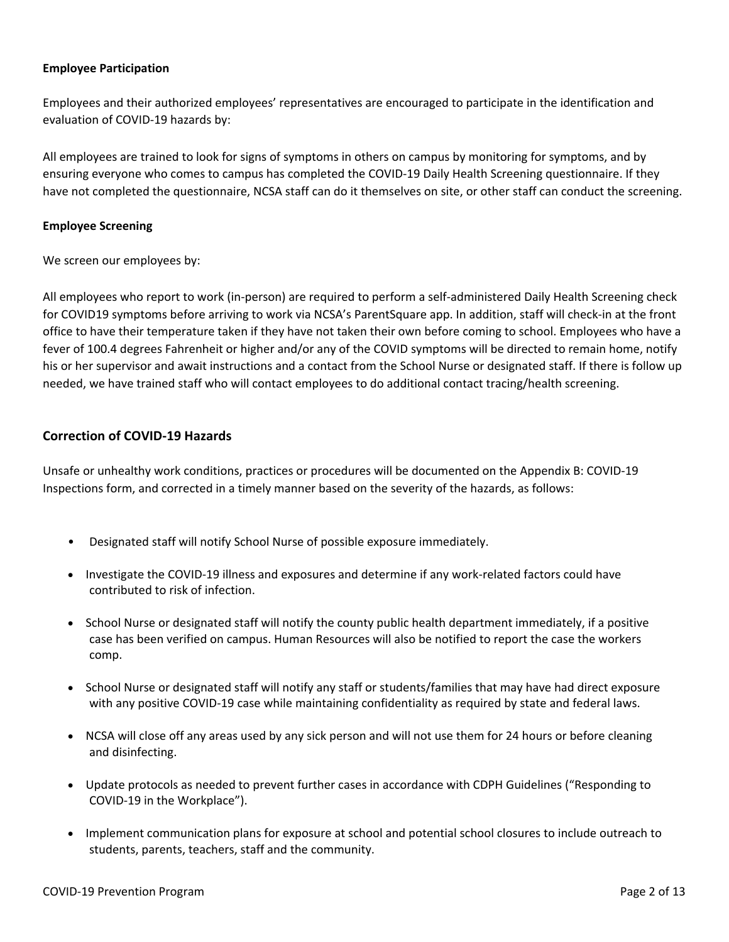#### **Employee Participation**

Employees and their authorized employees' representatives are encouraged to participate in the identification and evaluation of COVID-19 hazards by:

All employees are trained to look for signs of symptoms in others on campus by monitoring for symptoms, and by ensuring everyone who comes to campus has completed the COVID-19 Daily Health Screening questionnaire. If they have not completed the questionnaire, NCSA staff can do it themselves on site, or other staff can conduct the screening.

#### **Employee Screening**

We screen our employees by:

All employees who report to work (in-person) are required to perform a self-administered Daily Health Screening check for COVID19 symptoms before arriving to work via NCSA's ParentSquare app. In addition, staff will check-in at the front office to have their temperature taken if they have not taken their own before coming to school. Employees who have a fever of 100.4 degrees Fahrenheit or higher and/or any of the COVID symptoms will be directed to remain home, notify his or her supervisor and await instructions and a contact from the School Nurse or designated staff. If there is follow up needed, we have trained staff who will contact employees to do additional contact tracing/health screening.

## **Correction of COVID-19 Hazards**

Unsafe or unhealthy work conditions, practices or procedures will be documented on the Appendix B: COVID-19 Inspections form, and corrected in a timely manner based on the severity of the hazards, as follows:

- Designated staff will notify School Nurse of possible exposure immediately.
- Investigate the COVID-19 illness and exposures and determine if any work-related factors could have contributed to risk of infection.
- School Nurse or designated staff will notify the county public health department immediately, if a positive case has been verified on campus. Human Resources will also be notified to report the case the workers comp.
- School Nurse or designated staff will notify any staff or students/families that may have had direct exposure with any positive COVID-19 case while maintaining confidentiality as required by state and federal laws.
- NCSA will close off any areas used by any sick person and will not use them for 24 hours or before cleaning and disinfecting.
- Update protocols as needed to prevent further cases in accordance with CDPH Guidelines ("Responding to COVID-19 in the Workplace").
- Implement communication plans for exposure at school and potential school closures to include outreach to students, parents, teachers, staff and the community.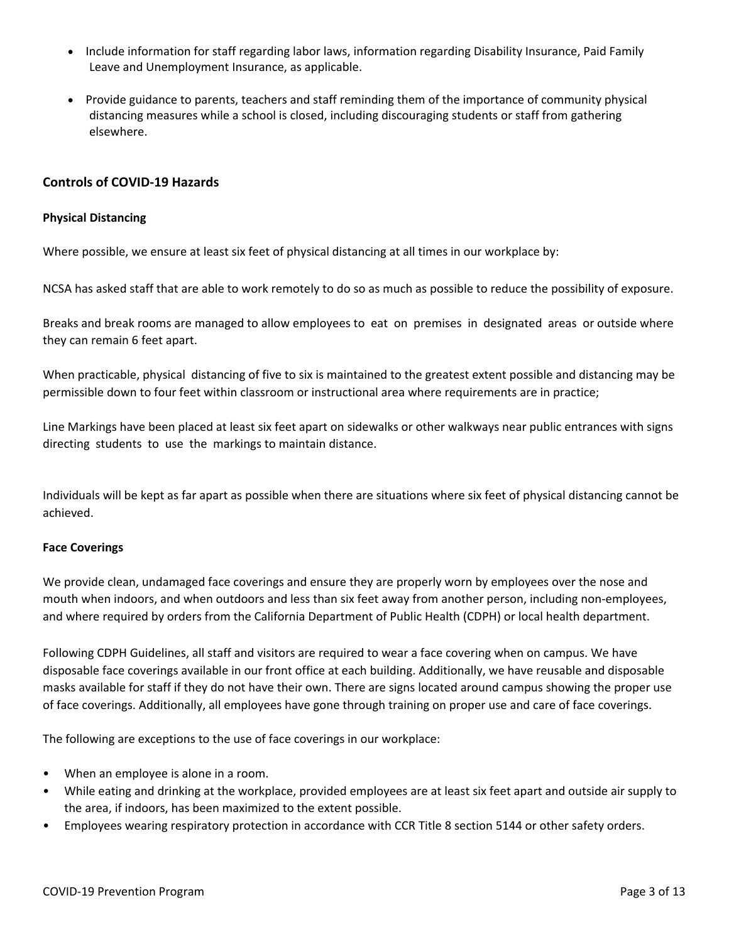- Include information for staff regarding labor laws, information regarding Disability Insurance, Paid Family Leave and Unemployment Insurance, as applicable.
- Provide guidance to parents, teachers and staff reminding them of the importance of community physical distancing measures while a school is closed, including discouraging students or staff from gathering elsewhere.

## **Controls of COVID-19 Hazards**

#### **Physical Distancing**

Where possible, we ensure at least six feet of physical distancing at all times in our workplace by:

NCSA has asked staff that are able to work remotely to do so as much as possible to reduce the possibility of exposure.

Breaks and break rooms are managed to allow employees to eat on premises in designated areas or outside where they can remain 6 feet apart.

When practicable, physical distancing of five to six is maintained to the greatest extent possible and distancing may be permissible down to four feet within classroom or instructional area where requirements are in practice;

Line Markings have been placed at least six feet apart on sidewalks or other walkways near public entrances with signs directing students to use the markings to maintain distance.

Individuals will be kept as far apart as possible when there are situations where six feet of physical distancing cannot be achieved.

## **Face Coverings**

We provide clean, undamaged face coverings and ensure they are properly worn by employees over the nose and mouth when indoors, and when outdoors and less than six feet away from another person, including non-employees, and where required by orders from the California Department of Public Health (CDPH) or local health department.

Following CDPH Guidelines, all staff and visitors are required to wear a face covering when on campus. We have disposable face coverings available in our front office at each building. Additionally, we have reusable and disposable masks available for staff if they do not have their own. There are signs located around campus showing the proper use of face coverings. Additionally, all employees have gone through training on proper use and care of face coverings.

The following are exceptions to the use of face coverings in our workplace:

- When an employee is alone in a room.
- While eating and drinking at the workplace, provided employees are at least six feet apart and outside air supply to the area, if indoors, has been maximized to the extent possible.
- Employees wearing respiratory protection in accordance with CCR Title 8 section 5144 or other safety orders.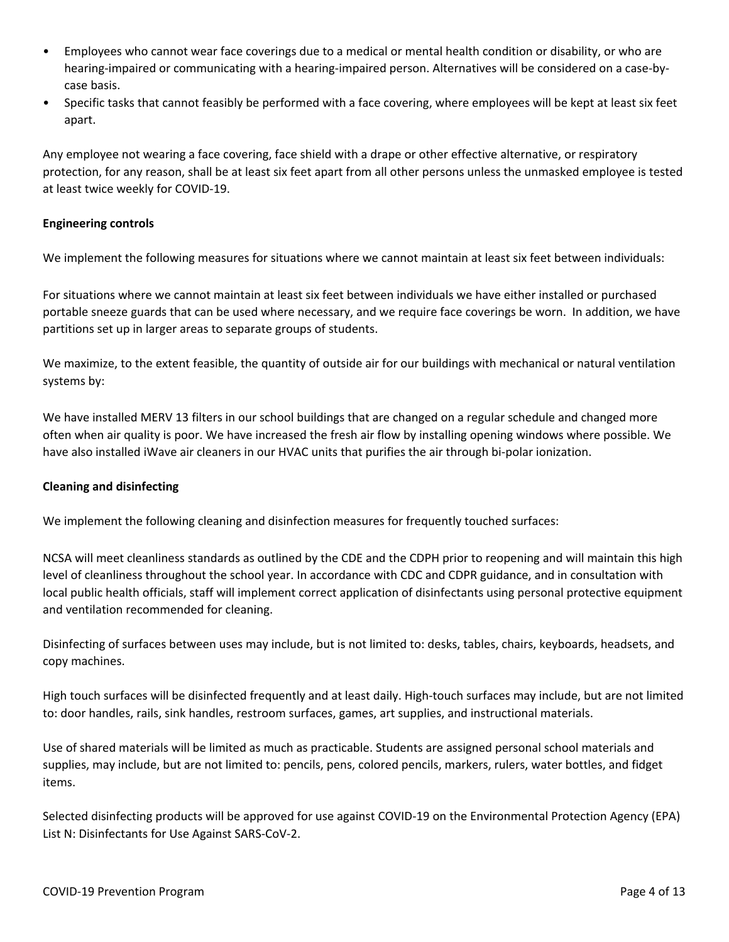- Employees who cannot wear face coverings due to a medical or mental health condition or disability, or who are hearing-impaired or communicating with a hearing-impaired person. Alternatives will be considered on a case-bycase basis.
- Specific tasks that cannot feasibly be performed with a face covering, where employees will be kept at least six feet apart.

Any employee not wearing a face covering, face shield with a drape or other effective alternative, or respiratory protection, for any reason, shall be at least six feet apart from all other persons unless the unmasked employee is tested at least twice weekly for COVID-19.

## **Engineering controls**

We implement the following measures for situations where we cannot maintain at least six feet between individuals:

For situations where we cannot maintain at least six feet between individuals we have either installed or purchased portable sneeze guards that can be used where necessary, and we require face coverings be worn. In addition, we have partitions set up in larger areas to separate groups of students.

We maximize, to the extent feasible, the quantity of outside air for our buildings with mechanical or natural ventilation systems by:

We have installed MERV 13 filters in our school buildings that are changed on a regular schedule and changed more often when air quality is poor. We have increased the fresh air flow by installing opening windows where possible. We have also installed iWave air cleaners in our HVAC units that purifies the air through bi-polar ionization.

## **Cleaning and disinfecting**

We implement the following cleaning and disinfection measures for frequently touched surfaces:

NCSA will meet cleanliness standards as outlined by the CDE and the CDPH prior to reopening and will maintain this high level of cleanliness throughout the school year. In accordance with CDC and CDPR guidance, and in consultation with local public health officials, staff will implement correct application of disinfectants using personal protective equipment and ventilation recommended for cleaning.

Disinfecting of surfaces between uses may include, but is not limited to: desks, tables, chairs, keyboards, headsets, and copy machines.

High touch surfaces will be disinfected frequently and at least daily. High-touch surfaces may include, but are not limited to: door handles, rails, sink handles, restroom surfaces, games, art supplies, and instructional materials.

Use of shared materials will be limited as much as practicable. Students are assigned personal school materials and supplies, may include, but are not limited to: pencils, pens, colored pencils, markers, rulers, water bottles, and fidget items.

Selected disinfecting products will be approved for use against COVID-19 on the Environmental Protection Agency (EPA) List N: Disinfectants for Use Against SARS-CoV-2.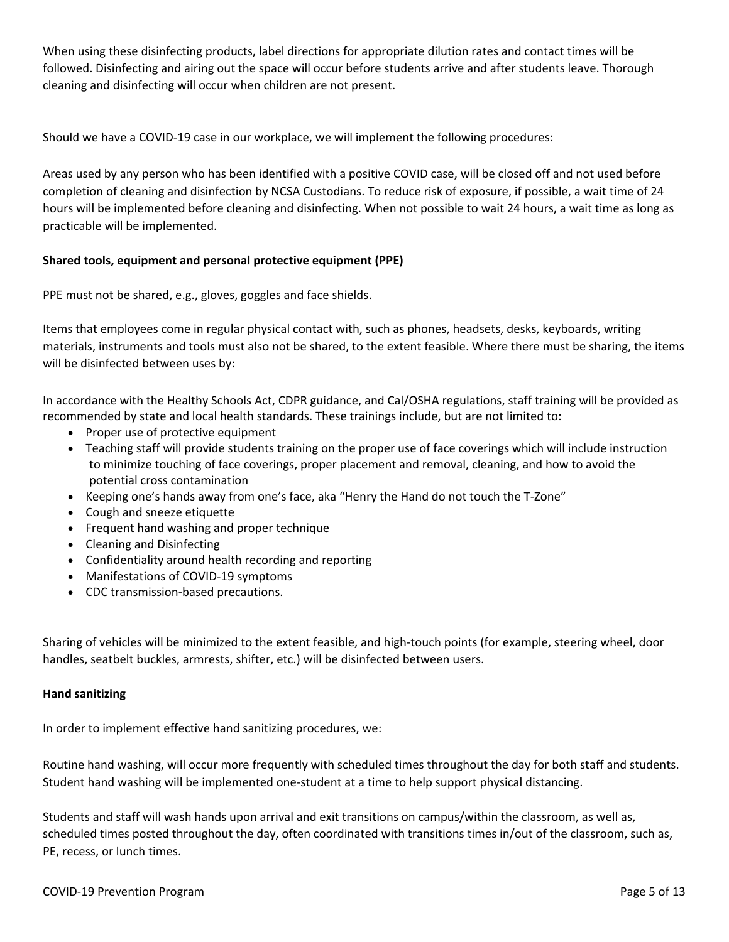When using these disinfecting products, label directions for appropriate dilution rates and contact times will be followed. Disinfecting and airing out the space will occur before students arrive and after students leave. Thorough cleaning and disinfecting will occur when children are not present.

Should we have a COVID-19 case in our workplace, we will implement the following procedures:

Areas used by any person who has been identified with a positive COVID case, will be closed off and not used before completion of cleaning and disinfection by NCSA Custodians. To reduce risk of exposure, if possible, a wait time of 24 hours will be implemented before cleaning and disinfecting. When not possible to wait 24 hours, a wait time as long as practicable will be implemented.

## **Shared tools, equipment and personal protective equipment (PPE)**

PPE must not be shared, e.g., gloves, goggles and face shields.

Items that employees come in regular physical contact with, such as phones, headsets, desks, keyboards, writing materials, instruments and tools must also not be shared, to the extent feasible. Where there must be sharing, the items will be disinfected between uses by:

In accordance with the Healthy Schools Act, CDPR guidance, and Cal/OSHA regulations, staff training will be provided as recommended by state and local health standards. These trainings include, but are not limited to:

- Proper use of protective equipment
- Teaching staff will provide students training on the proper use of face coverings which will include instruction to minimize touching of face coverings, proper placement and removal, cleaning, and how to avoid the potential cross contamination
- Keeping one's hands away from one's face, aka "Henry the Hand do not touch the T-Zone"
- Cough and sneeze etiquette
- Frequent hand washing and proper technique
- Cleaning and Disinfecting
- Confidentiality around health recording and reporting
- Manifestations of COVID-19 symptoms
- CDC transmission-based precautions.

Sharing of vehicles will be minimized to the extent feasible, and high-touch points (for example, steering wheel, door handles, seatbelt buckles, armrests, shifter, etc.) will be disinfected between users.

## **Hand sanitizing**

In order to implement effective hand sanitizing procedures, we:

Routine hand washing, will occur more frequently with scheduled times throughout the day for both staff and students. Student hand washing will be implemented one-student at a time to help support physical distancing.

Students and staff will wash hands upon arrival and exit transitions on campus/within the classroom, as well as, scheduled times posted throughout the day, often coordinated with transitions times in/out of the classroom, such as, PE, recess, or lunch times.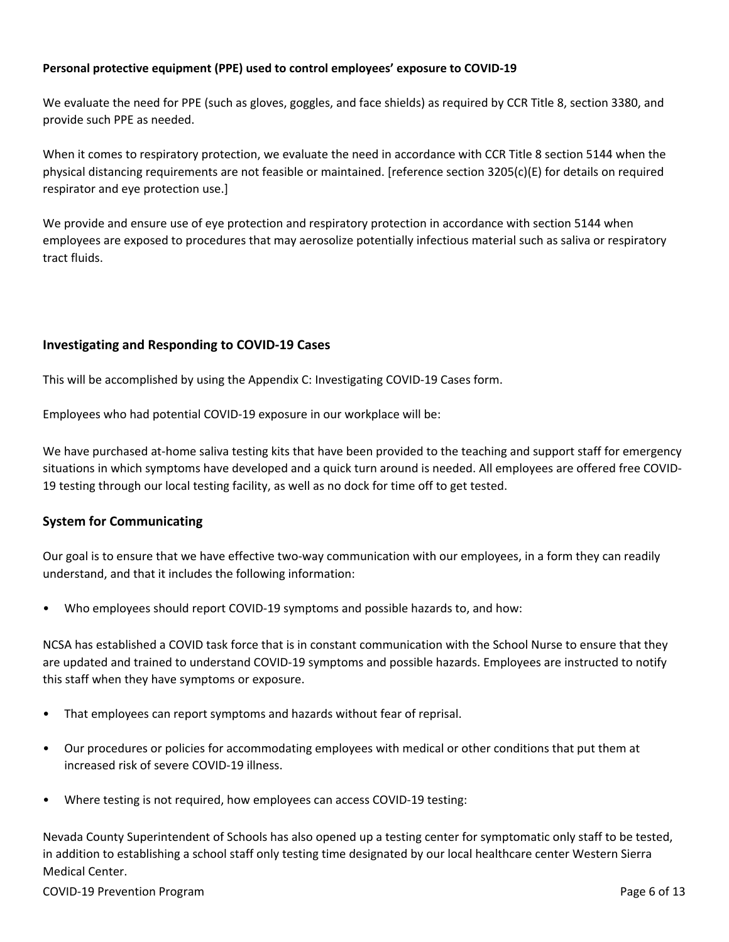## **Personal protective equipment (PPE) used to control employees' exposure to COVID-19**

We evaluate the need for PPE (such as gloves, goggles, and face shields) as required by CCR Title 8, section 3380, and provide such PPE as needed.

When it comes to respiratory protection, we evaluate the need in accordance with CCR Title 8 section 5144 when the physical distancing requirements are not feasible or maintained. [reference section 3205(c)(E) for details on required respirator and eye protection use.]

We provide and ensure use of eye protection and respiratory protection in accordance with section 5144 when employees are exposed to procedures that may aerosolize potentially infectious material such as saliva or respiratory tract fluids.

## **Investigating and Responding to COVID-19 Cases**

This will be accomplished by using the Appendix C: Investigating COVID-19 Cases form.

Employees who had potential COVID-19 exposure in our workplace will be:

We have purchased at-home saliva testing kits that have been provided to the teaching and support staff for emergency situations in which symptoms have developed and a quick turn around is needed. All employees are offered free COVID-19 testing through our local testing facility, as well as no dock for time off to get tested.

## **System for Communicating**

Our goal is to ensure that we have effective two-way communication with our employees, in a form they can readily understand, and that it includes the following information:

• Who employees should report COVID-19 symptoms and possible hazards to, and how:

NCSA has established a COVID task force that is in constant communication with the School Nurse to ensure that they are updated and trained to understand COVID-19 symptoms and possible hazards. Employees are instructed to notify this staff when they have symptoms or exposure.

- That employees can report symptoms and hazards without fear of reprisal.
- Our procedures or policies for accommodating employees with medical or other conditions that put them at increased risk of severe COVID-19 illness.
- Where testing is not required, how employees can access COVID-19 testing:

Nevada County Superintendent of Schools has also opened up a testing center for symptomatic only staff to be tested, in addition to establishing a school staff only testing time designated by our local healthcare center Western Sierra Medical Center.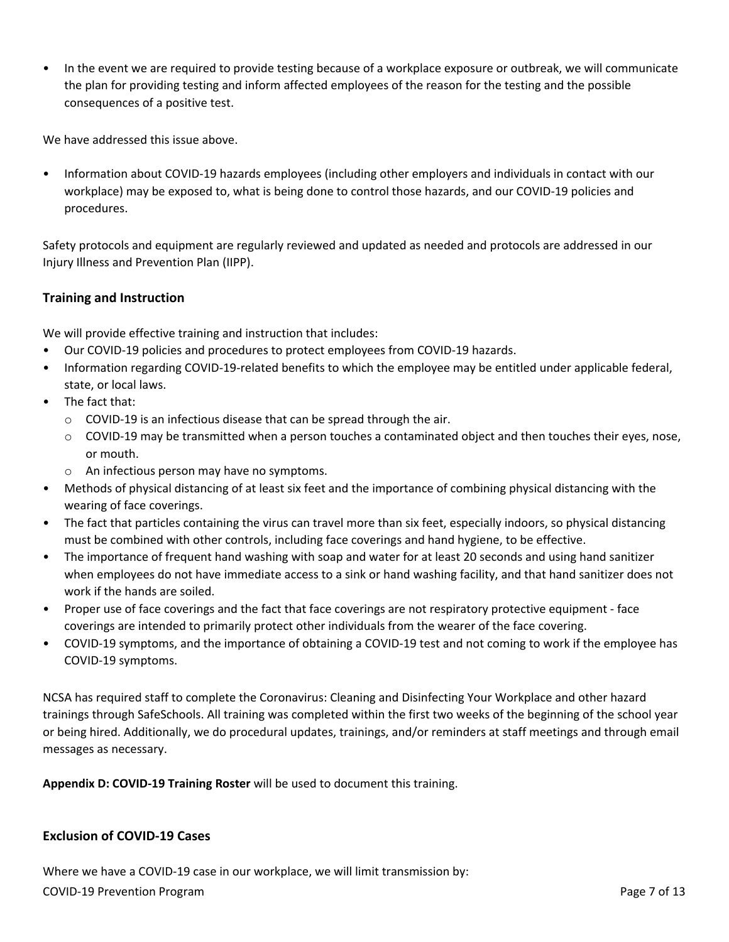• In the event we are required to provide testing because of a workplace exposure or outbreak, we will communicate the plan for providing testing and inform affected employees of the reason for the testing and the possible consequences of a positive test.

We have addressed this issue above.

• Information about COVID-19 hazards employees (including other employers and individuals in contact with our workplace) may be exposed to, what is being done to control those hazards, and our COVID-19 policies and procedures.

Safety protocols and equipment are regularly reviewed and updated as needed and protocols are addressed in our Injury Illness and Prevention Plan (IIPP).

# **Training and Instruction**

We will provide effective training and instruction that includes:

- Our COVID-19 policies and procedures to protect employees from COVID-19 hazards.
- Information regarding COVID-19-related benefits to which the employee may be entitled under applicable federal, state, or local laws.
- The fact that:
	- o COVID-19 is an infectious disease that can be spread through the air.
	- o COVID-19 may be transmitted when a person touches a contaminated object and then touches their eyes, nose, or mouth.
	- o An infectious person may have no symptoms.
- Methods of physical distancing of at least six feet and the importance of combining physical distancing with the wearing of face coverings.
- The fact that particles containing the virus can travel more than six feet, especially indoors, so physical distancing must be combined with other controls, including face coverings and hand hygiene, to be effective.
- The importance of frequent hand washing with soap and water for at least 20 seconds and using hand sanitizer when employees do not have immediate access to a sink or hand washing facility, and that hand sanitizer does not work if the hands are soiled.
- Proper use of face coverings and the fact that face coverings are not respiratory protective equipment face coverings are intended to primarily protect other individuals from the wearer of the face covering.
- COVID-19 symptoms, and the importance of obtaining a COVID-19 test and not coming to work if the employee has COVID-19 symptoms.

NCSA has required staff to complete the Coronavirus: Cleaning and Disinfecting Your Workplace and other hazard trainings through SafeSchools. All training was completed within the first two weeks of the beginning of the school year or being hired. Additionally, we do procedural updates, trainings, and/or reminders at staff meetings and through email messages as necessary.

**Appendix D: COVID-19 Training Roster** will be used to document this training.

## **Exclusion of COVID-19 Cases**

COVID-19 Prevention Program **Program** Page 7 of 13 Where we have a COVID-19 case in our workplace, we will limit transmission by: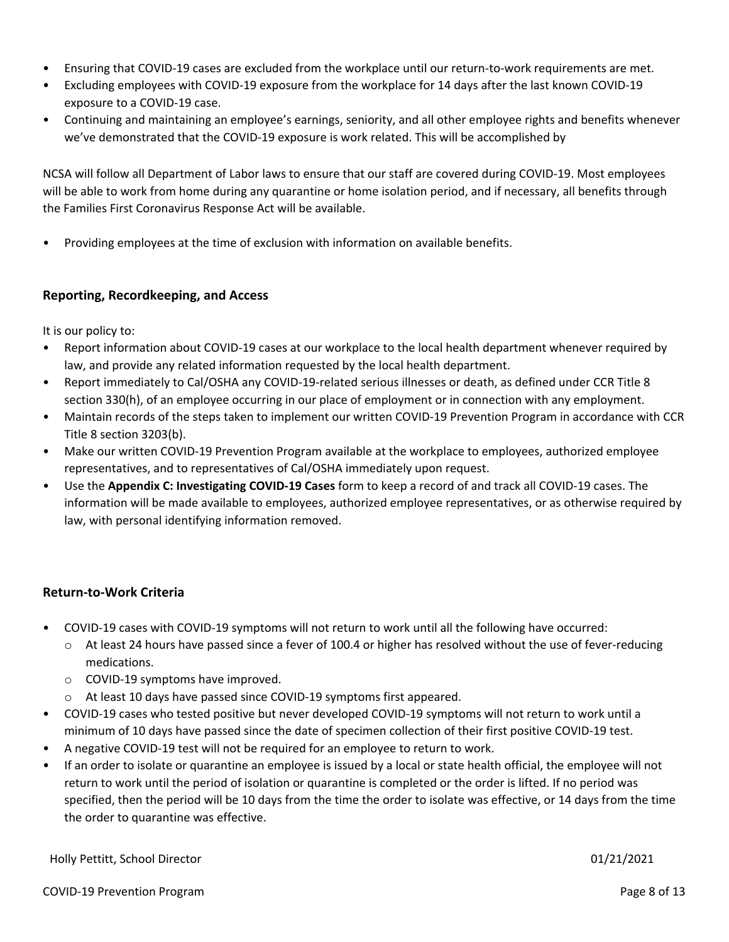- Ensuring that COVID-19 cases are excluded from the workplace until our return-to-work requirements are met.
- Excluding employees with COVID-19 exposure from the workplace for 14 days after the last known COVID-19 exposure to a COVID-19 case.
- Continuing and maintaining an employee's earnings, seniority, and all other employee rights and benefits whenever we've demonstrated that the COVID-19 exposure is work related. This will be accomplished by

NCSA will follow all Department of Labor laws to ensure that our staff are covered during COVID-19. Most employees will be able to work from home during any quarantine or home isolation period, and if necessary, all benefits through the Families First Coronavirus Response Act will be available.

• Providing employees at the time of exclusion with information on available benefits.

## **Reporting, Recordkeeping, and Access**

It is our policy to:

- Report information about COVID-19 cases at our workplace to the local health department whenever required by law, and provide any related information requested by the local health department.
- Report immediately to Cal/OSHA any COVID-19-related serious illnesses or death, as defined under CCR Title 8 section 330(h), of an employee occurring in our place of employment or in connection with any employment.
- Maintain records of the steps taken to implement our written COVID-19 Prevention Program in accordance with CCR Title 8 section 3203(b).
- Make our written COVID-19 Prevention Program available at the workplace to employees, authorized employee representatives, and to representatives of Cal/OSHA immediately upon request.
- Use the **Appendix C: Investigating COVID-19 Cases** form to keep a record of and track all COVID-19 cases. The information will be made available to employees, authorized employee representatives, or as otherwise required by law, with personal identifying information removed.

## **Return-to-Work Criteria**

- COVID-19 cases with COVID-19 symptoms will not return to work until all the following have occurred:
	- o At least 24 hours have passed since a fever of 100.4 or higher has resolved without the use of fever-reducing medications.
	- o COVID-19 symptoms have improved.
	- o At least 10 days have passed since COVID-19 symptoms first appeared.
- COVID-19 cases who tested positive but never developed COVID-19 symptoms will not return to work until a minimum of 10 days have passed since the date of specimen collection of their first positive COVID-19 test.
- A negative COVID-19 test will not be required for an employee to return to work.
- If an order to isolate or quarantine an employee is issued by a local or state health official, the employee will not return to work until the period of isolation or quarantine is completed or the order is lifted. If no period was specified, then the period will be 10 days from the time the order to isolate was effective, or 14 days from the time the order to quarantine was effective.

Holly Pettitt, School Director 01/21/2021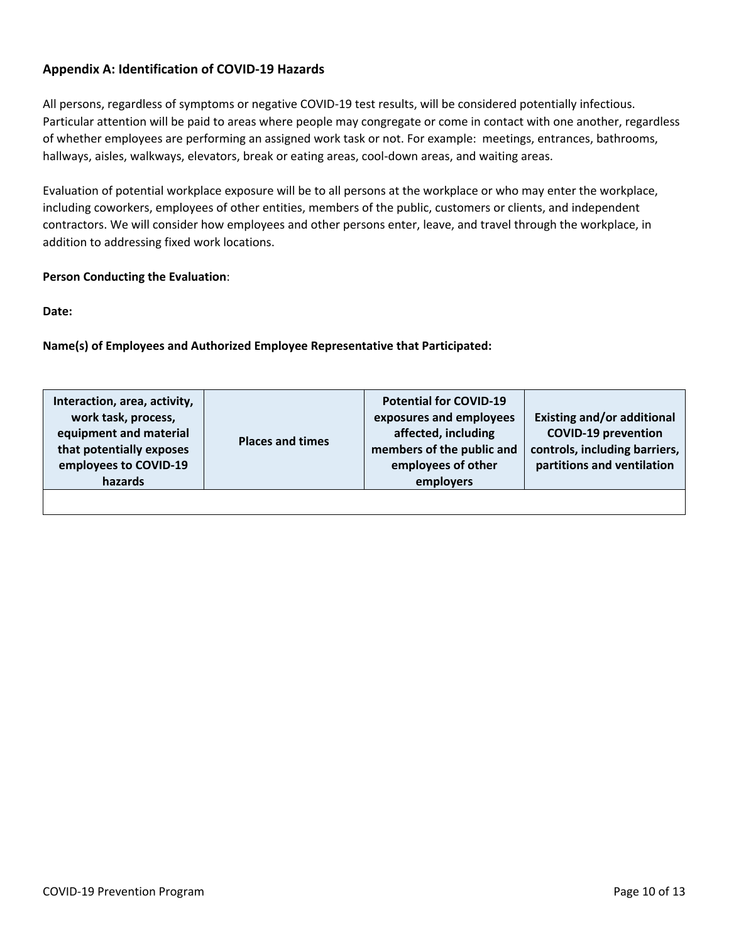# **Appendix A: Identification of COVID-19 Hazards**

All persons, regardless of symptoms or negative COVID-19 test results, will be considered potentially infectious. Particular attention will be paid to areas where people may congregate or come in contact with one another, regardless of whether employees are performing an assigned work task or not. For example: meetings, entrances, bathrooms, hallways, aisles, walkways, elevators, break or eating areas, cool-down areas, and waiting areas.

Evaluation of potential workplace exposure will be to all persons at the workplace or who may enter the workplace, including coworkers, employees of other entities, members of the public, customers or clients, and independent contractors. We will consider how employees and other persons enter, leave, and travel through the workplace, in addition to addressing fixed work locations.

## **Person Conducting the Evaluation**:

**Date:**

**Name(s) of Employees and Authorized Employee Representative that Participated:**

| Interaction, area, activity,<br>work task, process,<br>equipment and material<br>that potentially exposes<br>employees to COVID-19<br>hazards | <b>Places and times</b> | <b>Potential for COVID-19</b><br>exposures and employees<br>affected, including<br>members of the public and<br>employees of other<br>employers | <b>Existing and/or additional</b><br><b>COVID-19 prevention</b><br>controls, including barriers,<br>partitions and ventilation |
|-----------------------------------------------------------------------------------------------------------------------------------------------|-------------------------|-------------------------------------------------------------------------------------------------------------------------------------------------|--------------------------------------------------------------------------------------------------------------------------------|
|                                                                                                                                               |                         |                                                                                                                                                 |                                                                                                                                |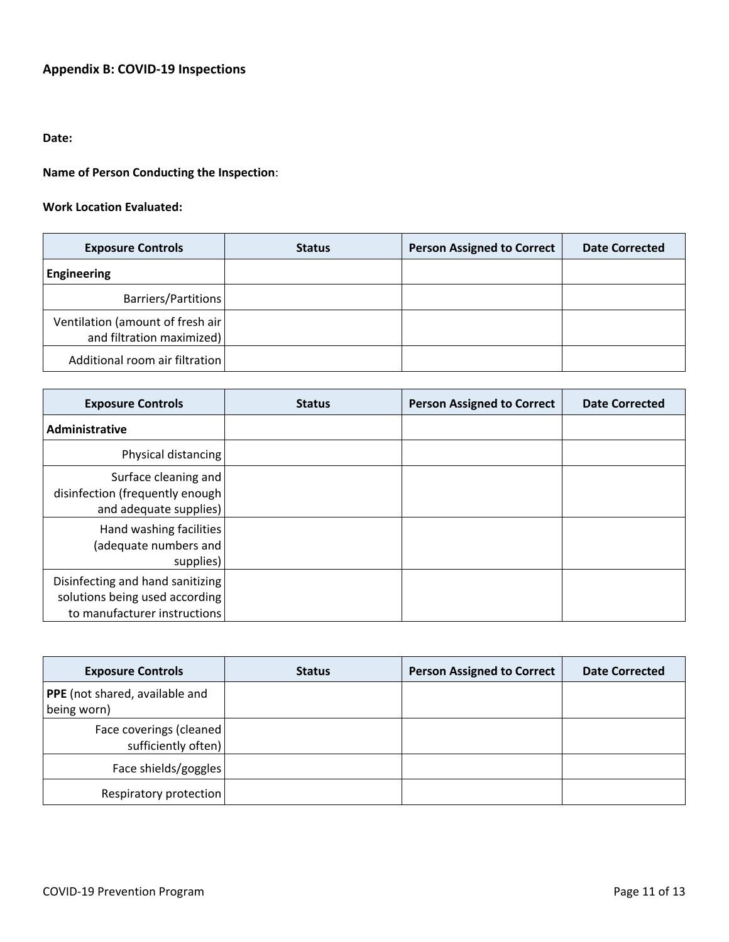# **Appendix B: COVID-19 Inspections**

## **Date:**

# **Name of Person Conducting the Inspection**:

## **Work Location Evaluated:**

| <b>Exposure Controls</b>                                       | <b>Status</b> | <b>Person Assigned to Correct</b> | <b>Date Corrected</b> |
|----------------------------------------------------------------|---------------|-----------------------------------|-----------------------|
| <b>Engineering</b>                                             |               |                                   |                       |
| Barriers/Partitions                                            |               |                                   |                       |
| Ventilation (amount of fresh air)<br>and filtration maximized) |               |                                   |                       |
| Additional room air filtration                                 |               |                                   |                       |

| <b>Exposure Controls</b>                                                                           | <b>Status</b> | <b>Person Assigned to Correct</b> | <b>Date Corrected</b> |
|----------------------------------------------------------------------------------------------------|---------------|-----------------------------------|-----------------------|
| Administrative                                                                                     |               |                                   |                       |
| Physical distancing                                                                                |               |                                   |                       |
| Surface cleaning and<br>disinfection (frequently enough<br>and adequate supplies)                  |               |                                   |                       |
| Hand washing facilities<br>(adequate numbers and<br>supplies)                                      |               |                                   |                       |
| Disinfecting and hand sanitizing<br>solutions being used according<br>to manufacturer instructions |               |                                   |                       |

| <b>Exposure Controls</b>                        | <b>Status</b> | <b>Person Assigned to Correct</b> | <b>Date Corrected</b> |
|-------------------------------------------------|---------------|-----------------------------------|-----------------------|
| PPE (not shared, available and<br>being worn)   |               |                                   |                       |
| Face coverings (cleaned)<br>sufficiently often) |               |                                   |                       |
| Face shields/goggles                            |               |                                   |                       |
| Respiratory protection                          |               |                                   |                       |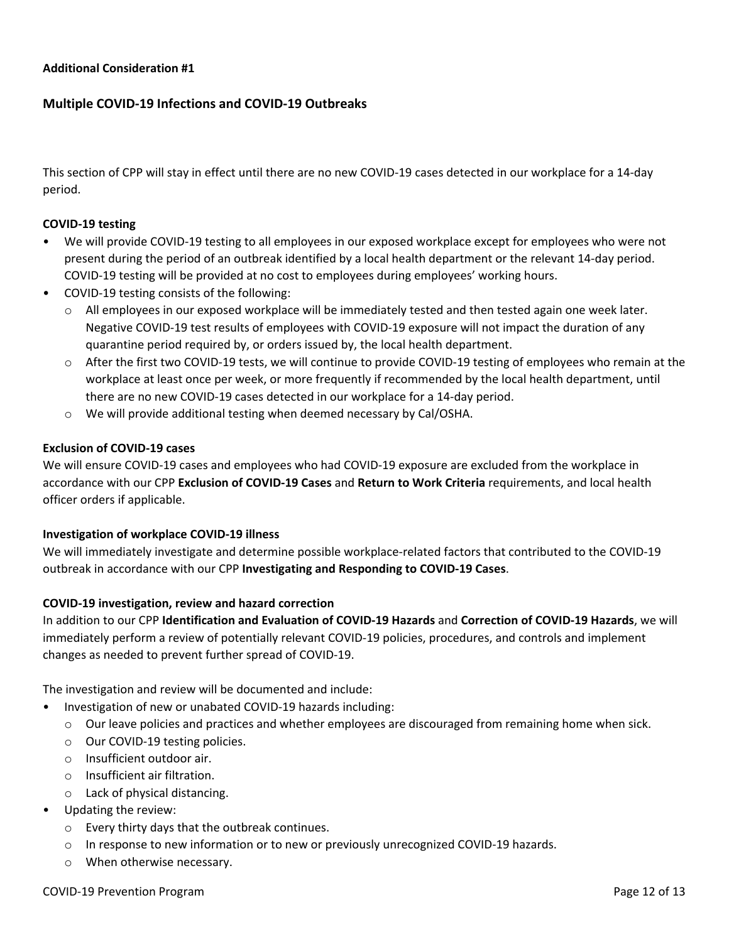#### **Additional Consideration #1**

## **Multiple COVID-19 Infections and COVID-19 Outbreaks**

This section of CPP will stay in effect until there are no new COVID-19 cases detected in our workplace for a 14-day period.

#### **COVID-19 testing**

- We will provide COVID-19 testing to all employees in our exposed workplace except for employees who were not present during the period of an outbreak identified by a local health department or the relevant 14-day period. COVID-19 testing will be provided at no cost to employees during employees' working hours.
- COVID-19 testing consists of the following:
	- $\circ$  All employees in our exposed workplace will be immediately tested and then tested again one week later. Negative COVID-19 test results of employees with COVID-19 exposure will not impact the duration of any quarantine period required by, or orders issued by, the local health department.
	- o After the first two COVID-19 tests, we will continue to provide COVID-19 testing of employees who remain at the workplace at least once per week, or more frequently if recommended by the local health department, until there are no new COVID-19 cases detected in our workplace for a 14-day period.
	- o We will provide additional testing when deemed necessary by Cal/OSHA.

#### **Exclusion of COVID-19 cases**

We will ensure COVID-19 cases and employees who had COVID-19 exposure are excluded from the workplace in accordance with our CPP **Exclusion of COVID-19 Cases** and **Return to Work Criteria** requirements, and local health officer orders if applicable.

#### **Investigation of workplace COVID-19 illness**

We will immediately investigate and determine possible workplace-related factors that contributed to the COVID-19 outbreak in accordance with our CPP **Investigating and Responding to COVID-19 Cases**.

#### **COVID-19 investigation, review and hazard correction**

In addition to our CPP **Identification and Evaluation of COVID-19 Hazards** and **Correction of COVID-19 Hazards**, we will immediately perform a review of potentially relevant COVID-19 policies, procedures, and controls and implement changes as needed to prevent further spread of COVID-19.

The investigation and review will be documented and include:

- Investigation of new or unabated COVID-19 hazards including:
	- o Our leave policies and practices and whether employees are discouraged from remaining home when sick.
	- o Our COVID-19 testing policies.
	- o Insufficient outdoor air.
	- o Insufficient air filtration.
	- o Lack of physical distancing.
- Updating the review:
	- o Every thirty days that the outbreak continues.
	- o In response to new information or to new or previously unrecognized COVID-19 hazards.
	- o When otherwise necessary.

#### COVID-19 Prevention Program **Page 12 of 13**